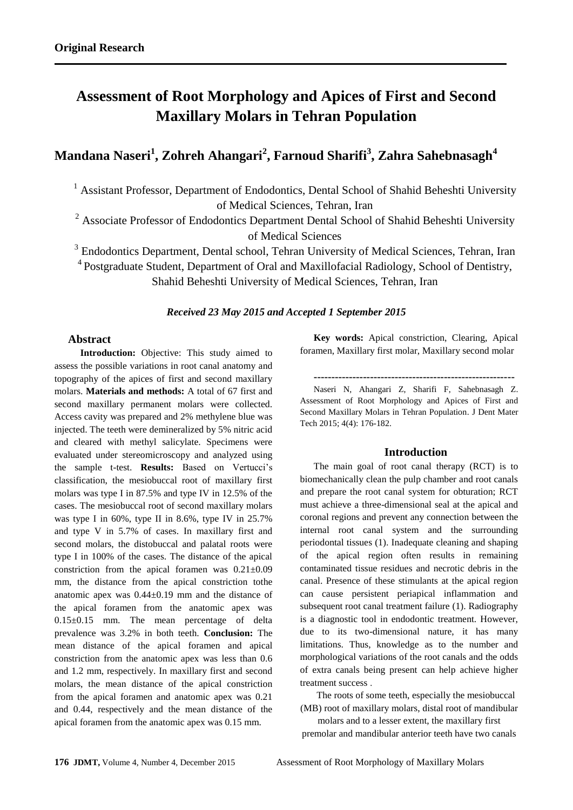# **Assessment of Root Morphology and Apices of First and Second Maxillary Molars in Tehran Population**

# **Mandana Naseri<sup>1</sup> , Zohreh Ahangari<sup>2</sup> , Farnoud Sharifi<sup>3</sup> , Zahra Sahebnasagh<sup>4</sup>**

<sup>1</sup> Assistant Professor, Department of Endodontics, Dental School of Shahid Beheshti University of Medical Sciences, Tehran, Iran

 $2$  Associate Professor of Endodontics Department Dental School of Shahid Beheshti University of Medical Sciences

<sup>3</sup> Endodontics Department, Dental school, Tehran University of Medical Sciences, Tehran, Iran

<sup>4</sup> Postgraduate Student, Department of Oral and Maxillofacial Radiology, School of Dentistry, Shahid Beheshti University of Medical Sciences, Tehran, Iran

## *Received 23 May 2015 and Accepted 1 September 2015*

## **Abstract**

 **Introduction:** Objective: This study aimed to assess the possible variations in root canal anatomy and topography of the apices of first and second maxillary molars. **Materials and methods:** A total of 67 first and second maxillary permanent molars were collected. Access cavity was prepared and 2% methylene blue was injected. The teeth were demineralized by 5% nitric acid and cleared with methyl salicylate. Specimens were evaluated under stereomicroscopy and analyzed using the sample t-test. **Results:** Based on Vertucci's classification, the mesiobuccal root of maxillary first molars was type I in 87.5% and type IV in 12.5% of the cases. The mesiobuccal root of second maxillary molars was type I in 60%, type II in 8.6%, type IV in 25.7% and type V in 5.7% of cases. In maxillary first and second molars, the distobuccal and palatal roots were type I in 100% of the cases. The distance of the apical constriction from the apical foramen was 0.21±0.09 mm, the distance from the apical constriction tothe anatomic apex was 0.44±0.19 mm and the distance of the apical foramen from the anatomic apex was 0.15±0.15 mm. The mean percentage of delta prevalence was 3.2% in both teeth. **Conclusion:** The mean distance of the apical foramen and apical constriction from the anatomic apex was less than 0.6 and 1.2 mm, respectively. In maxillary first and second molars, the mean distance of the apical constriction from the apical foramen and anatomic apex was 0.21 and 0.44, respectively and the mean distance of the apical foramen from the anatomic apex was 0.15 mm.

**Key words:** Apical constriction, Clearing, Apical foramen, Maxillary first molar, Maxillary second molar

**---------------------------------------------------------**

Naseri N, Ahangari Z, Sharifi F, Sahebnasagh Z. Assessment of Root Morphology and Apices of First and Second Maxillary Molars in Tehran Population. J Dent Mater Tech 2015; 4(4): 176-182.

# **Introduction**

The main goal of root canal therapy (RCT) is to biomechanically clean the pulp chamber and root canals and prepare the root canal system for obturation; RCT must achieve a three-dimensional seal at the apical and coronal regions and prevent any connection between the internal root canal system and the surrounding periodontal tissues (1). Inadequate cleaning and shaping of the apical region often results in remaining contaminated tissue residues and necrotic debris in the canal. Presence of these stimulants at the apical region can cause persistent periapical inflammation and subsequent root canal treatment failure (1). Radiography is a diagnostic tool in endodontic treatment. However, due to its two-dimensional nature, it has many limitations. Thus, knowledge as to the number and morphological variations of the root canals and the odds of extra canals being present can help achieve higher treatment success .

The roots of some teeth, especially the mesiobuccal (MB) root of maxillary molars, distal root of mandibular

molars and to a lesser extent, the maxillary first premolar and mandibular anterior teeth have two canals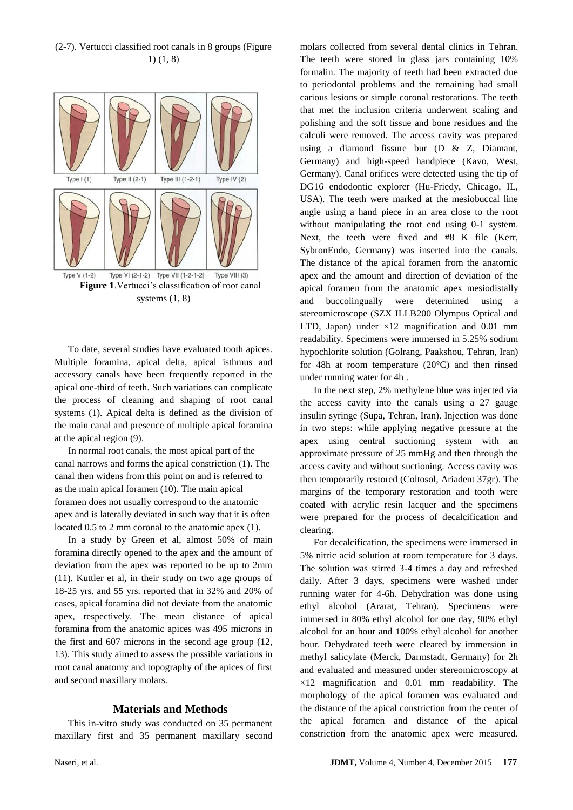(2-7). Vertucci classified root canals in 8 groups (Figure  $1)$   $(1, 8)$ 



To date, several studies have evaluated tooth apices. Multiple foramina, apical delta, apical isthmus and accessory canals have been frequently reported in the apical one-third of teeth. Such variations can complicate the process of cleaning and shaping of root canal systems (1). Apical delta is defined as the division of the main canal and presence of multiple apical foramina at the apical region (9).

In normal root canals, the most apical part of the canal narrows and forms the apical constriction (1). The canal then widens from this point on and is referred to as the main apical foramen (10). The main apical foramen does not usually correspond to the anatomic apex and is laterally deviated in such way that it is often located  $0.5$  to  $2$  mm coronal to the anatomic apex  $(1)$ .

In a study by Green et al, almost 50% of main foramina directly opened to the apex and the amount of deviation from the apex was reported to be up to 2mm (11). Kuttler et al, in their study on two age groups of 18-25 yrs. and 55 yrs. reported that in 32% and 20% of cases, apical foramina did not deviate from the anatomic apex, respectively. The mean distance of apical foramina from the anatomic apices was 495 microns in the first and 607 microns in the second age group (12, 13). This study aimed to assess the possible variations in root canal anatomy and topography of the apices of first and second maxillary molars.

#### **Materials and Methods**

This in-vitro study was conducted on 35 permanent maxillary first and 35 permanent maxillary second molars collected from several dental clinics in Tehran. The teeth were stored in glass jars containing 10% formalin. The majority of teeth had been extracted due to periodontal problems and the remaining had small carious lesions or simple coronal restorations. The teeth that met the inclusion criteria underwent scaling and polishing and the soft tissue and bone residues and the calculi were removed. The access cavity was prepared using a diamond fissure bur (D & Z, Diamant, Germany) and high-speed handpiece (Kavo, West, Germany). Canal orifices were detected using the tip of DG16 endodontic explorer (Hu-Friedy, Chicago, IL, USA). The teeth were marked at the mesiobuccal line angle using a hand piece in an area close to the root without manipulating the root end using 0-1 system. Next, the teeth were fixed and #8 K file (Kerr, SybronEndo, Germany) was inserted into the canals. The distance of the apical foramen from the anatomic apex and the amount and direction of deviation of the apical foramen from the anatomic apex mesiodistally and buccolingually were determined using a stereomicroscope (SZX ILLB200 Olympus Optical and LTD, Japan) under  $\times 12$  magnification and 0.01 mm readability. Specimens were immersed in 5.25% sodium hypochlorite solution (Golrang, Paakshou, Tehran, Iran) for 48h at room temperature (20°C) and then rinsed under running water for 4h .

In the next step, 2% methylene blue was injected via the access cavity into the canals using a 27 gauge insulin syringe (Supa, Tehran, Iran). Injection was done in two steps: while applying negative pressure at the apex using central suctioning system with an approximate pressure of 25 mmHg and then through the access cavity and without suctioning. Access cavity was then temporarily restored (Coltosol, Ariadent 37gr). The margins of the temporary restoration and tooth were coated with acrylic resin lacquer and the specimens were prepared for the process of decalcification and clearing.

For decalcification, the specimens were immersed in 5% nitric acid solution at room temperature for 3 days. The solution was stirred 3-4 times a day and refreshed daily. After 3 days, specimens were washed under running water for 4-6h. Dehydration was done using ethyl alcohol (Ararat, Tehran). Specimens were immersed in 80% ethyl alcohol for one day, 90% ethyl alcohol for an hour and 100% ethyl alcohol for another hour. Dehydrated teeth were cleared by immersion in methyl salicylate (Merck, Darmstadt, Germany) for 2h and evaluated and measured under stereomicroscopy at  $\times$ 12 magnification and 0.01 mm readability. The morphology of the apical foramen was evaluated and the distance of the apical constriction from the center of the apical foramen and distance of the apical constriction from the anatomic apex were measured.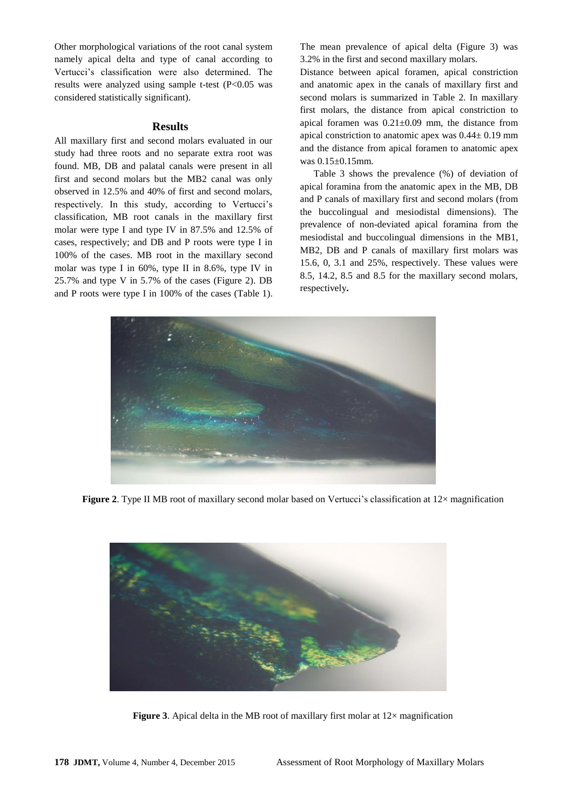Other morphological variations of the root canal system namely apical delta and type of canal according to Vertucci's classification were also determined. The results were analyzed using sample t-test (P<0.05 was considered statistically significant).

#### **Results**

All maxillary first and second molars evaluated in our study had three roots and no separate extra root was found. MB, DB and palatal canals were present in all first and second molars but the MB2 canal was only observed in 12.5% and 40% of first and second molars, respectively. In this study, according to Vertucci's classification, MB root canals in the maxillary first molar were type I and type IV in 87.5% and 12.5% of cases, respectively; and DB and P roots were type I in 100% of the cases. MB root in the maxillary second molar was type I in 60%, type II in 8.6%, type IV in 25.7% and type V in 5.7% of the cases (Figure 2). DB and P roots were type I in 100% of the cases (Table 1). The mean prevalence of apical delta (Figure 3) was 3.2% in the first and second maxillary molars.

Distance between apical foramen, apical constriction and anatomic apex in the canals of maxillary first and second molars is summarized in Table 2. In maxillary first molars, the distance from apical constriction to apical foramen was  $0.21 \pm 0.09$  mm, the distance from apical constriction to anatomic apex was 0.44± 0.19 mm and the distance from apical foramen to anatomic apex was 0.15±0.15mm.

Table 3 shows the prevalence (%) of deviation of apical foramina from the anatomic apex in the MB, DB and P canals of maxillary first and second molars (from the buccolingual and mesiodistal dimensions). The prevalence of non-deviated apical foramina from the mesiodistal and buccolingual dimensions in the MB1, MB2, DB and P canals of maxillary first molars was 15.6, 0, 3.1 and 25%, respectively. These values were 8.5, 14.2, 8.5 and 8.5 for the maxillary second molars, respectively**.**



**Figure 2**. Type II MB root of maxillary second molar based on Vertucci's classification at 12× magnification



**Figure 3**. Apical delta in the MB root of maxillary first molar at  $12\times$  magnification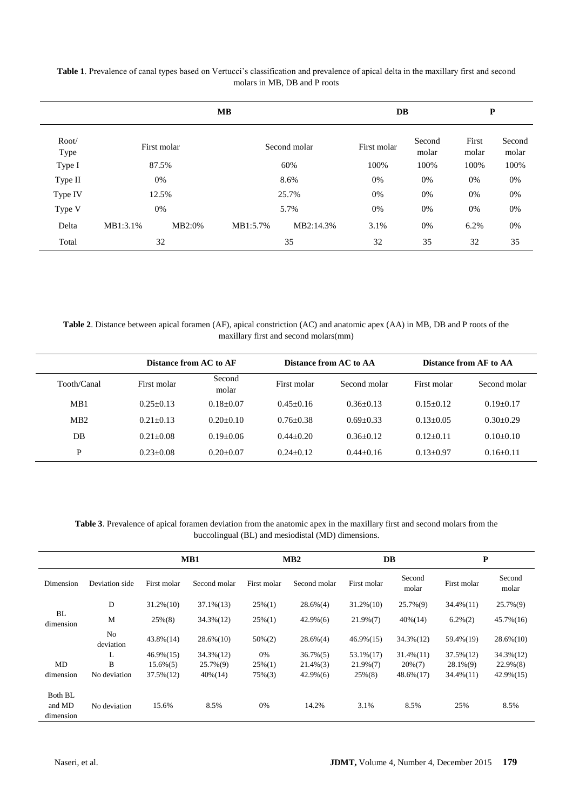**Table 1**. Prevalence of canal types based on Vertucci's classification and prevalence of apical delta in the maxillary first and second molars in MB, DB and P roots

|               |             | $\bf MB$ |              |           |             | DB              |                | $\mathbf P$     |  |
|---------------|-------------|----------|--------------|-----------|-------------|-----------------|----------------|-----------------|--|
| Root/<br>Type | First molar |          | Second molar |           | First molar | Second<br>molar | First<br>molar | Second<br>molar |  |
| Type I        | 87.5%       |          | 60%          |           | 100%        | 100%            | 100%           | 100%            |  |
| Type II       | 0%          |          | 8.6%         |           | 0%          | 0%              | 0%             | 0%              |  |
| Type IV       | 12.5%       |          | 25.7%        |           | 0%          | 0%              | 0%             | 0%              |  |
| Type V        | 0%          |          | 5.7%         |           | 0%          | 0%              | 0%             | 0%              |  |
| Delta         | MB1:3.1%    | MB2:0%   | MB1:5.7%     | MB2:14.3% | 3.1%        | 0%              | 6.2%           | 0%              |  |
| Total         | 32          |          | 35           |           | 32          | 35              | 32             | 35              |  |

**Table 2**. Distance between apical foramen (AF), apical constriction (AC) and anatomic apex (AA) in MB, DB and P roots of the maxillary first and second molars(mm)

|             | Distance from AC to AF |                 |               | Distance from AC to AA | Distance from AF to AA |               |  |
|-------------|------------------------|-----------------|---------------|------------------------|------------------------|---------------|--|
| Tooth/Canal | First molar            | Second<br>molar | First molar   | Second molar           | First molar            | Second molar  |  |
| MB1         | $0.25 + 0.13$          | $0.18 + 0.07$   | $0.45 + 0.16$ | $0.36 \pm 0.13$        | $0.15 + 0.12$          | $0.19 + 0.17$ |  |
| MB2         | $0.21 + 0.13$          | $0.20 + 0.10$   | $0.76 + 0.38$ | $0.69 + 0.33$          | $0.13 + 0.05$          | $0.30 + 0.29$ |  |
| DB          | $0.21 + 0.08$          | $0.19 + 0.06$   | $0.44 + 0.20$ | $0.36 + 0.12$          | $0.12+0.11$            | $0.10+0.10$   |  |
| P           | $0.23 + 0.08$          | $0.20 + 0.07$   | $0.24 + 0.12$ | $0.44 + 0.16$          | $0.13 + 0.97$          | $0.16+0.11$   |  |

**Table 3**. Prevalence of apical foramen deviation from the anatomic apex in the maxillary first and second molars from the buccolingual (BL) and mesiodistal (MD) dimensions.

|                                |                 | MB1          |              | MB2         |              | DB           |                 | P            |                 |
|--------------------------------|-----------------|--------------|--------------|-------------|--------------|--------------|-----------------|--------------|-----------------|
| Dimension                      | Deviation side  | First molar  | Second molar | First molar | Second molar | First molar  | Second<br>molar | First molar  | Second<br>molar |
| <b>BL</b><br>dimension         | D               | $31.2\%(10)$ | $37.1\%(13)$ | $25\%(1)$   | $28.6\%(4)$  | $31.2\%(10)$ | $25.7\%(9)$     | $34.4\%(11)$ | 25.7%(9)        |
|                                | M               | $25\%(8)$    | $34.3\%(12)$ | $25\%(1)$   | $42.9\%(6)$  | $21.9\%(7)$  | $40\%(14)$      | $6.2\%(2)$   | $45.7\%(16)$    |
|                                | No<br>deviation | $43.8\%(14)$ | $28.6\%(10)$ | $50\%(2)$   | $28.6\%(4)$  | $46.9\%(15)$ | $34.3\%(12)$    | 59.4% (19)   | $28.6\%(10)$    |
|                                | L               | $46.9\%(15)$ | $34.3\%(12)$ | 0%          | $36.7\%(5)$  | 53.1%(17)    | $31.4\%(11)$    | $37.5\%(12)$ | $34.3\%(12)$    |
| MD                             | B               | $15.6\%(5)$  | 25.7%(9)     | $25\%(1)$   | $21.4\%(3)$  | $21.9\%(7)$  | $20\%$ (7)      | 28.1%(9)     | 22.9%(8)        |
| dimension                      | No deviation    | $37.5\%(12)$ | $40\% (14)$  | 75%(3)      | $42.9\%(6)$  | $25\%(8)$    | 48.6%(17)       | $34.4\%(11)$ | 42.9% (15)      |
| Both BL<br>and MD<br>dimension | No deviation    | 15.6%        | 8.5%         | 0%          | 14.2%        | 3.1%         | 8.5%            | 25%          | 8.5%            |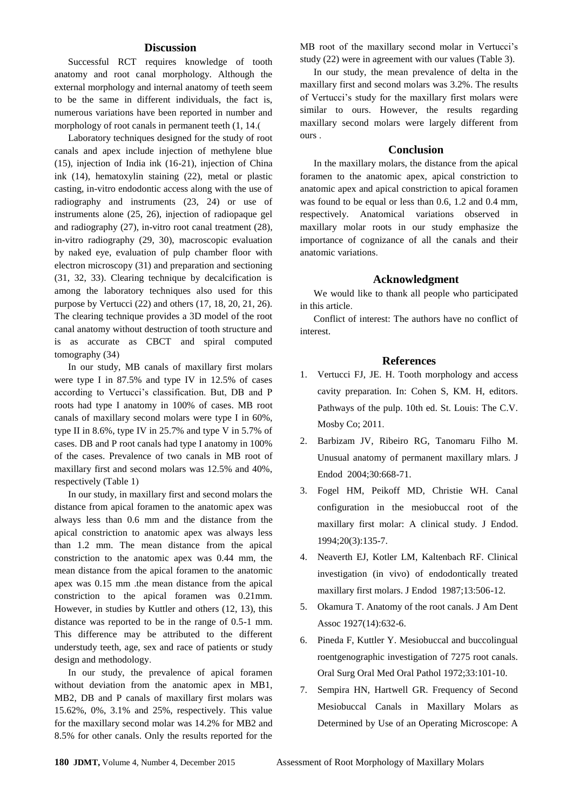#### **Discussion**

Successful RCT requires knowledge of tooth anatomy and root canal morphology. Although the external morphology and internal anatomy of teeth seem to be the same in different individuals, the fact is, numerous variations have been reported in number and morphology of root canals in permanent teeth  $(1, 14)$ .

Laboratory techniques designed for the study of root canals and apex include injection of methylene blue (15), injection of India ink (16-21), injection of China ink (14), hematoxylin staining (22), metal or plastic casting, in-vitro endodontic access along with the use of radiography and instruments (23, 24) or use of instruments alone (25, 26), injection of radiopaque gel and radiography (27), in-vitro root canal treatment (28), in-vitro radiography (29, 30), macroscopic evaluation by naked eye, evaluation of pulp chamber floor with electron microscopy (31) and preparation and sectioning (31, 32, 33). Clearing technique by decalcification is among the laboratory techniques also used for this purpose by Vertucci (22) and others (17, 18, 20, 21, 26). The clearing technique provides a 3D model of the root canal anatomy without destruction of tooth structure and is as accurate as CBCT and spiral computed tomography  $(34)$ 

In our study, MB canals of maxillary first molars were type I in 87.5% and type IV in 12.5% of cases according to Vertucci's classification. But, DB and P roots had type I anatomy in 100% of cases. MB root canals of maxillary second molars were type I in 60%, type II in 8.6%, type IV in 25.7% and type V in 5.7% of cases. DB and P root canals had type I anatomy in 100% of the cases. Prevalence of two canals in MB root of maxillary first and second molars was 12.5% and 40%, respectively (Table 1)

In our study, in maxillary first and second molars the distance from apical foramen to the anatomic apex was always less than 0.6 mm and the distance from the apical constriction to anatomic apex was always less than 1.2 mm. The mean distance from the apical constriction to the anatomic apex was 0.44 mm, the mean distance from the apical foramen to the anatomic apex was 0.15 mm .the mean distance from the apical constriction to the apical foramen was 0.21mm. However, in studies by Kuttler and others (12, 13), this distance was reported to be in the range of 0.5-1 mm. This difference may be attributed to the different understudy teeth, age, sex and race of patients or study design and methodology.

In our study, the prevalence of apical foramen without deviation from the anatomic apex in MB1, MB2, DB and P canals of maxillary first molars was 15.62%, 0%, 3.1% and 25%, respectively. This value for the maxillary second molar was 14.2% for MB2 and 8.5% for other canals. Only the results reported for the

MB root of the maxillary second molar in Vertucci's study (22) were in agreement with our values (Table 3).

In our study, the mean prevalence of delta in the maxillary first and second molars was 3.2%. The results of Vertucci's study for the maxillary first molars were similar to ours. However, the results regarding maxillary second molars were largely different from ours .

#### **Conclusion**

In the maxillary molars, the distance from the apical foramen to the anatomic apex, apical constriction to anatomic apex and apical constriction to apical foramen was found to be equal or less than 0.6, 1.2 and 0.4 mm, respectively. Anatomical variations observed in maxillary molar roots in our study emphasize the importance of cognizance of all the canals and their anatomic variations.

#### **Acknowledgment**

We would like to thank all people who participated in this article.

Conflict of interest: The authors have no conflict of interest.

#### **References**

- 1. Vertucci FJ, JE. H. Tooth morphology and access cavity preparation. In: Cohen S, KM. H, editors. Pathways of the pulp. 10th ed. St. Louis: The C.V. Mosby Co; 2011.
- 2. Barbizam JV, Ribeiro RG, Tanomaru Filho M. Unusual anatomy of permanent maxillary mlars. J Endod 2004;30:668-71.
- 3. Fogel HM, Peikoff MD, Christie WH. Canal configuration in the mesiobuccal root of the maxillary first molar: A clinical study. J Endod. 1994;20(3):135-7.
- 4. Neaverth EJ, Kotler LM, Kaltenbach RF. Clinical investigation (in vivo) of endodontically treated maxillary first molars. J Endod 1987;13:506-12.
- 5. Okamura T. Anatomy of the root canals. J Am Dent Assoc 1927(14):632-6.
- 6. Pineda F, Kuttler Y. Mesiobuccal and buccolingual roentgenographic investigation of 7275 root canals. Oral Surg Oral Med Oral Pathol 1972;33:101-10.
- 7. Sempira HN, Hartwell GR. Frequency of Second Mesiobuccal Canals in Maxillary Molars as Determined by Use of an Operating Microscope: A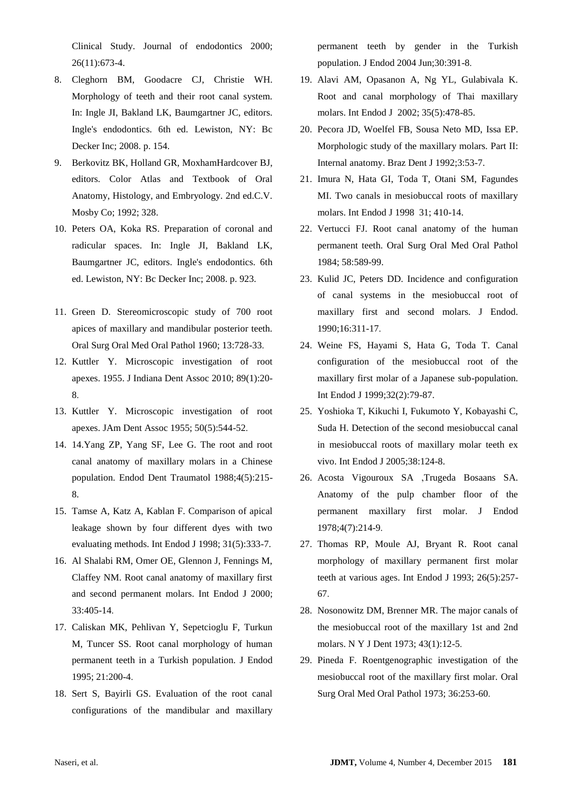Clinical Study. Journal of endodontics 2000; 26(11):673-4.

- 8. Cleghorn BM, Goodacre CJ, Christie WH. Morphology of teeth and their root canal system. In: Ingle JI, Bakland LK, Baumgartner JC, editors. Ingle's endodontics. 6th ed. Lewiston, NY: Bc Decker Inc; 2008. p. 154.
- 9. Berkovitz BK, Holland GR, MoxhamHardcover BJ, editors. Color Atlas and Textbook of Oral Anatomy, Histology, and Embryology. 2nd ed.C.V. Mosby Co; 1992; 328.
- 10. Peters OA, Koka RS. Preparation of coronal and radicular spaces. In: Ingle JI, Bakland LK, Baumgartner JC, editors. Ingle's endodontics. 6th ed. Lewiston, NY: Bc Decker Inc; 2008. p. 923.
- 11. Green D. Stereomicroscopic study of 700 root apices of maxillary and mandibular posterior teeth. Oral Surg Oral Med Oral Pathol 1960; 13:728-33.
- 12. Kuttler Y. Microscopic investigation of root apexes. 1955. J Indiana Dent Assoc 2010; 89(1):20- 8.
- 13. Kuttler Y. Microscopic investigation of root apexes. JAm Dent Assoc 1955; 50(5):544-52.
- 14. 14.Yang ZP, Yang SF, Lee G. The root and root canal anatomy of maxillary molars in a Chinese population. Endod Dent Traumatol 1988;4(5):215- 8.
- 15. Tamse A, Katz A, Kablan F. Comparison of apical leakage shown by four different dyes with two evaluating methods. Int Endod J 1998; 31(5):333-7.
- 16. Al Shalabi RM, Omer OE, Glennon J, Fennings M, Claffey NM. Root canal anatomy of maxillary first and second permanent molars. Int Endod J 2000; 33:405-14.
- 17. Caliskan MK, Pehlivan Y, Sepetcioglu F, Turkun M, Tuncer SS. Root canal morphology of human permanent teeth in a Turkish population. J Endod 1995; 21:200-4.
- 18. Sert S, Bayirli GS. Evaluation of the root canal configurations of the mandibular and maxillary

permanent teeth by gender in the Turkish population. J Endod 2004 Jun;30:391-8.

- 19. Alavi AM, Opasanon A, Ng YL, Gulabivala K. Root and canal morphology of Thai maxillary molars. Int Endod J 2002; 35(5):478-85.
- 20. Pecora JD, Woelfel FB, Sousa Neto MD, Issa EP. Morphologic study of the maxillary molars. Part II: Internal anatomy. Braz Dent J 1992;3:53-7.
- 21. Imura N, Hata GI, Toda T, Otani SM, Fagundes MI. Two canals in mesiobuccal roots of maxillary molars. Int Endod J 1998 31; 410-14.
- 22. Vertucci FJ. Root canal anatomy of the human permanent teeth. Oral Surg Oral Med Oral Pathol 1984; 58:589-99.
- 23. Kulid JC, Peters DD. Incidence and configuration of canal systems in the mesiobuccal root of maxillary first and second molars. J Endod. 1990;16:311-17.
- 24. Weine FS, Hayami S, Hata G, Toda T. Canal configuration of the mesiobuccal root of the maxillary first molar of a Japanese sub-population. Int Endod J 1999;32(2):79-87.
- 25. Yoshioka T, Kikuchi I, Fukumoto Y, Kobayashi C, Suda H. Detection of the second mesiobuccal canal in mesiobuccal roots of maxillary molar teeth ex vivo. Int Endod J 2005;38:124-8.
- 26. Acosta Vigouroux SA ,Trugeda Bosaans SA. Anatomy of the pulp chamber floor of the permanent maxillary first molar. J Endod 1978;4(7):214-9.
- 27. Thomas RP, Moule AJ, Bryant R. Root canal morphology of maxillary permanent first molar teeth at various ages. Int Endod J 1993; 26(5):257- 67.
- 28. Nosonowitz DM, Brenner MR. The major canals of the mesiobuccal root of the maxillary 1st and 2nd molars. N Y J Dent 1973; 43(1):12-5.
- 29. Pineda F. Roentgenographic investigation of the mesiobuccal root of the maxillary first molar. Oral Surg Oral Med Oral Pathol 1973; 36:253-60.